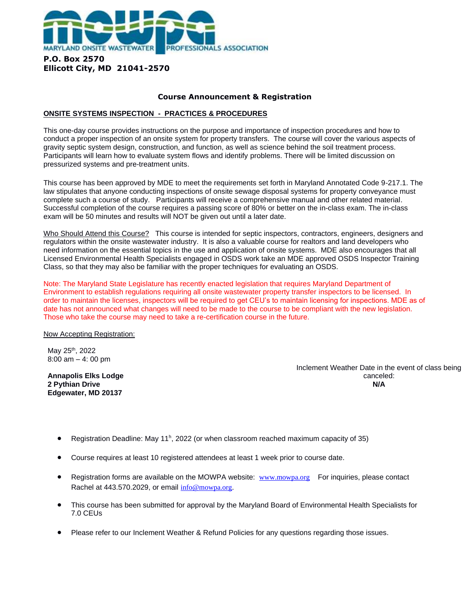

## **Course Announcement & Registration**

## **ONSITE SYSTEMS INSPECTION - PRACTICES & PROCEDURES**

This one-day course provides instructions on the purpose and importance of inspection procedures and how to conduct a proper inspection of an onsite system for property transfers. The course will cover the various aspects of gravity septic system design, construction, and function, as well as science behind the soil treatment process. Participants will learn how to evaluate system flows and identify problems. There will be limited discussion on pressurized systems and pre-treatment units.

This course has been approved by MDE to meet the requirements set forth in Maryland Annotated Code 9-217.1. The law stipulates that anyone conducting inspections of onsite sewage disposal systems for property conveyance must complete such a course of study. Participants will receive a comprehensive manual and other related material. Successful completion of the course requires a passing score of 80% or better on the in-class exam. The in-class exam will be 50 minutes and results will NOT be given out until a later date.

Who Should Attend this Course? This course is intended for septic inspectors, contractors, engineers, designers and regulators within the onsite wastewater industry. It is also a valuable course for realtors and land developers who need information on the essential topics in the use and application of onsite systems. MDE also encourages that all Licensed Environmental Health Specialists engaged in OSDS work take an MDE approved OSDS Inspector Training Class, so that they may also be familiar with the proper techniques for evaluating an OSDS.

Note: The Maryland State Legislature has recently enacted legislation that requires Maryland Department of Environment to establish regulations requiring all onsite wastewater property transfer inspectors to be licensed. In order to maintain the licenses, inspectors will be required to get CEU's to maintain licensing for inspections. MDE as of date has not announced what changes will need to be made to the course to be compliant with the new legislation. Those who take the course may need to take a re-certification course in the future.

## Now Accepting Registration:

May 25<sup>th</sup>, 2022 8:00 am – 4: 00 pm

**Annapolis Elks Lodge 2 Pythian Drive Edgewater, MD 20137**

Inclement Weather Date in the event of class being canceled: **N/A**

- Registration Deadline: May 11<sup>h</sup>, 2022 (or when classroom reached maximum capacity of 35)
- Course requires at least 10 registered attendees at least 1 week prior to course date.
- Registration forms are available on the MOWPA website: [www.mowpa.org](about:blank) For inquiries, please contact Rachel at 443.570.2029, or email [info@mowpa.org.](about:blank)
- This course has been submitted for approval by the Maryland Board of Environmental Health Specialists for 7.0 CEUs
- Please refer to our Inclement Weather & Refund Policies for any questions regarding those issues.